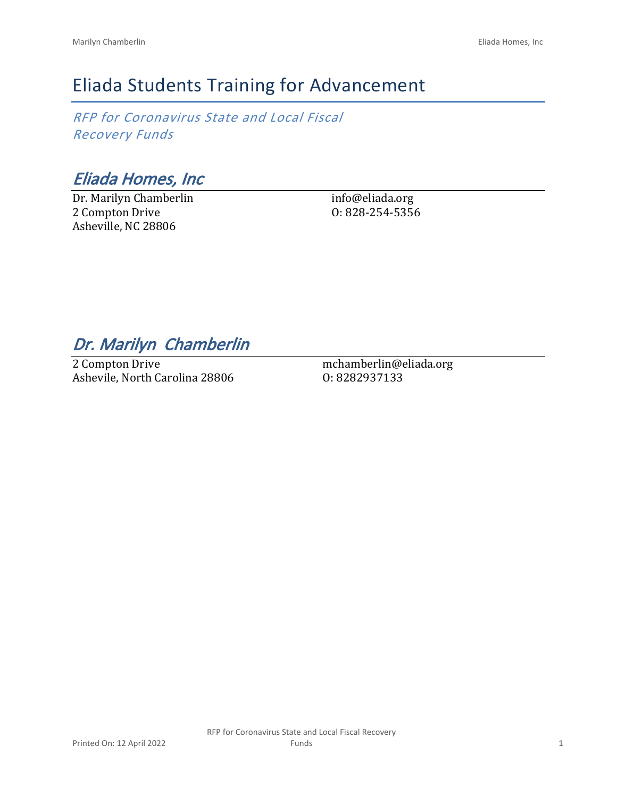# Eliada Students Training for Advancement

*RFP for Coronavirus State and Local Fiscal Recovery Funds*

*Eliada Homes, Inc*

Dr. Marilyn Chamberlin 2 Compton Drive Asheville, NC 28806

info@eliada.org O: 828-254-5356

## *Dr. Marilyn Chamberlin*

2 Compton Drive Ashevile, North Carolina 28806

mchamberlin@eliada.org O: 8282937133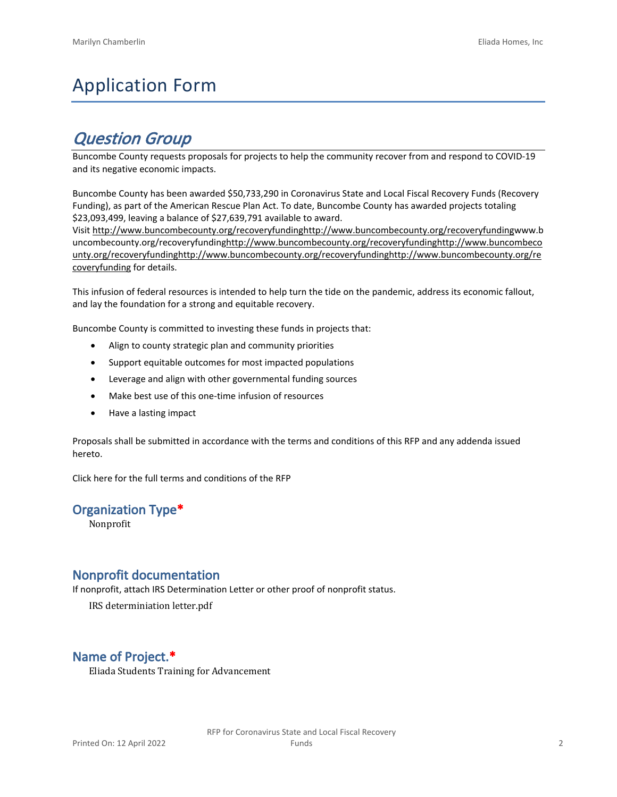# Application Form

# *Question Group*

Buncombe County requests proposals for projects to help the community recover from and respond to COVID-19 and its negative economic impacts.

Buncombe County has been awarded \$50,733,290 in Coronavirus State and Local Fiscal Recovery Funds (Recovery Funding), as part of the American Rescue Plan Act. To date, Buncombe County has awarded projects totaling \$23,093,499, leaving a balance of \$27,639,791 available to award.

Visit [http://www.buncombecounty.org/recoveryfundinghttp://www.buncombecounty.org/recoveryfundingwww.b](http://www.buncombecounty.org/recoveryfunding) [uncombecounty.org/recoveryfundinghttp://www.buncombecounty.org/recoveryfundinghttp://www.buncombeco](http://www.buncombecounty.org/recoveryfunding) [unty.org/recoveryfundinghttp://www.buncombecounty.org/recoveryfundinghttp://www.buncombecounty.org/re](http://www.buncombecounty.org/recoveryfunding) [coveryfunding](http://www.buncombecounty.org/recoveryfunding) for details.

This infusion of federal resources is intended to help turn the tide on the pandemic, address its economic fallout, and lay the foundation for a strong and equitable recovery.

Buncombe County is committed to investing these funds in projects that:

- Align to county strategic plan and community priorities
- Support equitable outcomes for most impacted populations
- Leverage and align with other governmental funding sources
- Make best use of this one-time infusion of resources
- Have a lasting impact

Proposals shall be submitted in accordance with the terms and conditions of this RFP and any addenda issued hereto.

Click [here](https://www.buncombecounty.org/common/purchasing/Buncombe%20Recovery%20Funding%20RFP%202022.pdf) for the full terms and conditions of the RFP

### **Organization Type\***

Nonprofit

### **Nonprofit documentation**

If nonprofit, attach IRS Determination Letter or other proof of nonprofit status.

IRS determiniation letter.pdf

## **Name of Project.\***

Eliada Students Training for Advancement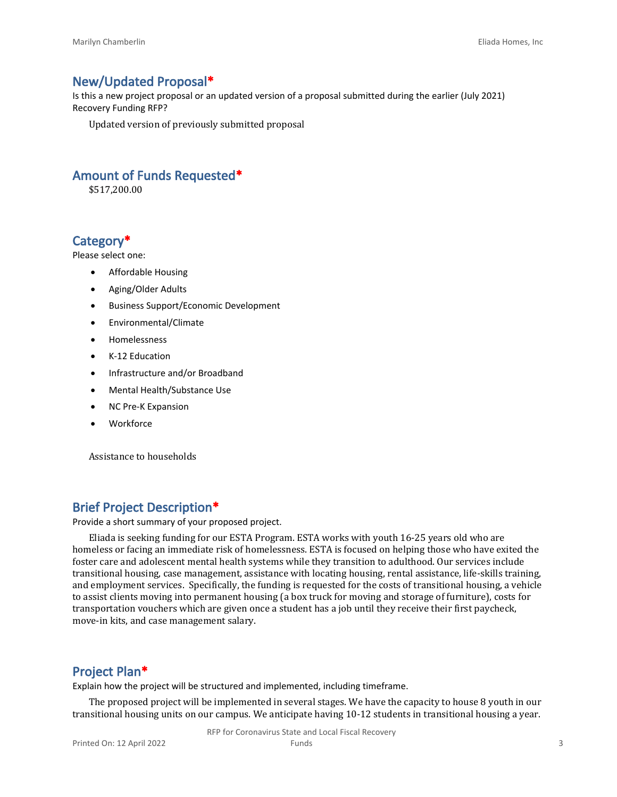#### **New/Updated Proposal\***

Is this a new project proposal or an updated version of a proposal submitted during the earlier (July 2021) Recovery Funding RFP?

Updated version of previously submitted proposal

#### **Amount of Funds Requested\***

\$517,200.00

#### **Category\***

Please select one:

- Affordable Housing
- Aging/Older Adults
- Business Support/Economic Development
- Environmental/Climate
- Homelessness
- K-12 Education
- Infrastructure and/or Broadband
- Mental Health/Substance Use
- NC Pre-K Expansion
- Workforce

Assistance to households

#### **Brief Project Description\***

Provide a short summary of your proposed project.

Eliada is seeking funding for our ESTA Program. ESTA works with youth 16-25 years old who are homeless or facing an immediate risk of homelessness. ESTA is focused on helping those who have exited the foster care and adolescent mental health systems while they transition to adulthood. Our services include transitional housing, case management, assistance with locating housing, rental assistance, life-skills training, and employment services. Specifically, the funding is requested for the costs of transitional housing, a vehicle to assist clients moving into permanent housing (a box truck for moving and storage of furniture), costs for transportation vouchers which are given once a student has a job until they receive their first paycheck, move-in kits, and case management salary.

#### **Project Plan\***

Explain how the project will be structured and implemented, including timeframe.

The proposed project will be implemented in several stages. We have the capacity to house 8 youth in our transitional housing units on our campus. We anticipate having 10-12 students in transitional housing a year.

RFP for Coronavirus State and Local Fiscal Recovery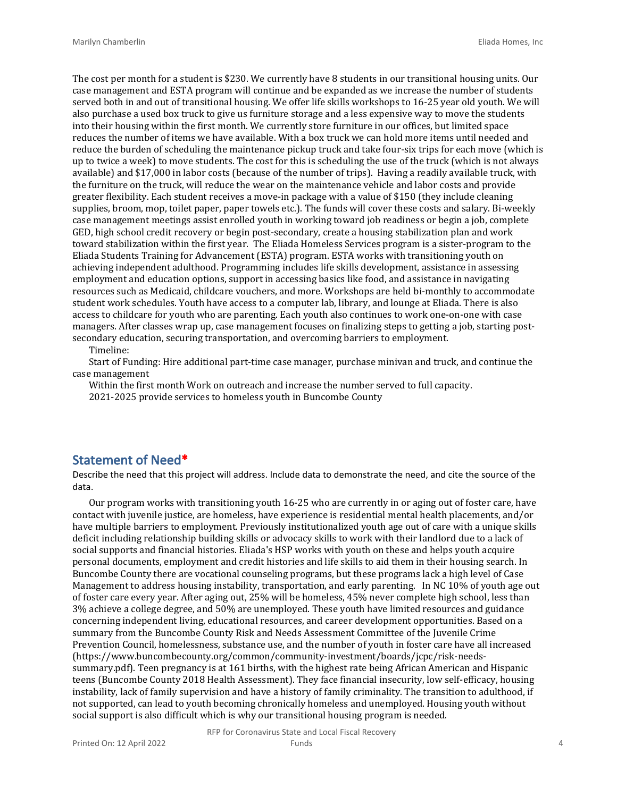The cost per month for a student is \$230. We currently have 8 students in our transitional housing units. Our case management and ESTA program will continue and be expanded as we increase the number of students served both in and out of transitional housing. We offer life skills workshops to 16-25 year old youth. We will also purchase a used box truck to give us furniture storage and a less expensive way to move the students into their housing within the first month. We currently store furniture in our offices, but limited space reduces the number of items we have available. With a box truck we can hold more items until needed and reduce the burden of scheduling the maintenance pickup truck and take four-six trips for each move (which is up to twice a week) to move students. The cost for this is scheduling the use of the truck (which is not always available) and \$17,000 in labor costs (because of the number of trips). Having a readily available truck, with the furniture on the truck, will reduce the wear on the maintenance vehicle and labor costs and provide greater flexibility. Each student receives a move-in package with a value of \$150 (they include cleaning supplies, broom, mop, toilet paper, paper towels etc.). The funds will cover these costs and salary. Bi-weekly case management meetings assist enrolled youth in working toward job readiness or begin a job, complete GED, high school credit recovery or begin post-secondary, create a housing stabilization plan and work toward stabilization within the first year. The Eliada Homeless Services program is a sister-program to the Eliada Students Training for Advancement (ESTA) program. ESTA works with transitioning youth on achieving independent adulthood. Programming includes life skills development, assistance in assessing employment and education options, support in accessing basics like food, and assistance in navigating resources such as Medicaid, childcare vouchers, and more. Workshops are held bi-monthly to accommodate student work schedules. Youth have access to a computer lab, library, and lounge at Eliada. There is also access to childcare for youth who are parenting. Each youth also continues to work one-on-one with case managers. After classes wrap up, case management focuses on finalizing steps to getting a job, starting postsecondary education, securing transportation, and overcoming barriers to employment.

Timeline:

Start of Funding: Hire additional part-time case manager, purchase minivan and truck, and continue the case management

Within the first month Work on outreach and increase the number served to full capacity.

2021-2025 provide services to homeless youth in Buncombe County

#### **Statement of Need\***

Describe the need that this project will address. Include data to demonstrate the need, and cite the source of the data.

Our program works with transitioning youth 16-25 who are currently in or aging out of foster care, have contact with juvenile justice, are homeless, have experience is residential mental health placements, and/or have multiple barriers to employment. Previously institutionalized youth age out of care with a unique skills deficit including relationship building skills or advocacy skills to work with their landlord due to a lack of social supports and financial histories. Eliada's HSP works with youth on these and helps youth acquire personal documents, employment and credit histories and life skills to aid them in their housing search. In Buncombe County there are vocational counseling programs, but these programs lack a high level of Case Management to address housing instability, transportation, and early parenting. In NC 10% of youth age out of foster care every year. After aging out, 25% will be homeless, 45% never complete high school, less than 3% achieve a college degree, and 50% are unemployed. These youth have limited resources and guidance concerning independent living, educational resources, and career development opportunities. Based on a summary from the Buncombe County Risk and Needs Assessment Committee of the Juvenile Crime Prevention Council, homelessness, substance use, and the number of youth in foster care have all increased (https://www.buncombecounty.org/common/community-investment/boards/jcpc/risk-needssummary.pdf). Teen pregnancy is at 161 births, with the highest rate being African American and Hispanic teens (Buncombe County 2018 Health Assessment). They face financial insecurity, low self-efficacy, housing instability, lack of family supervision and have a history of family criminality. The transition to adulthood, if not supported, can lead to youth becoming chronically homeless and unemployed. Housing youth without social support is also difficult which is why our transitional housing program is needed.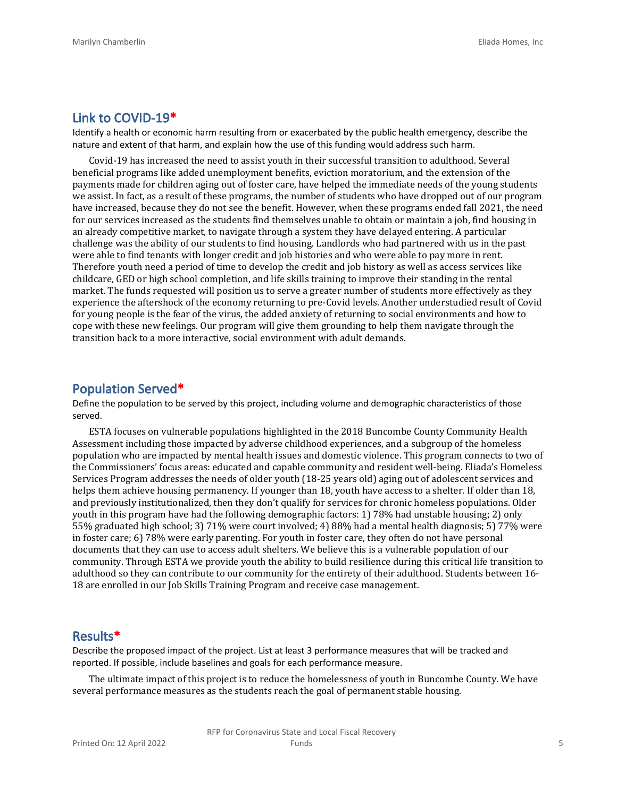#### **Link to COVID-19\***

Identify a health or economic harm resulting from or exacerbated by the public health emergency, describe the nature and extent of that harm, and explain how the use of this funding would address such harm.

Covid-19 has increased the need to assist youth in their successful transition to adulthood. Several beneficial programs like added unemployment benefits, eviction moratorium, and the extension of the payments made for children aging out of foster care, have helped the immediate needs of the young students we assist. In fact, as a result of these programs, the number of students who have dropped out of our program have increased, because they do not see the benefit. However, when these programs ended fall 2021, the need for our services increased as the students find themselves unable to obtain or maintain a job, find housing in an already competitive market, to navigate through a system they have delayed entering. A particular challenge was the ability of our students to find housing. Landlords who had partnered with us in the past were able to find tenants with longer credit and job histories and who were able to pay more in rent. Therefore youth need a period of time to develop the credit and job history as well as access services like childcare, GED or high school completion, and life skills training to improve their standing in the rental market. The funds requested will position us to serve a greater number of students more effectively as they experience the aftershock of the economy returning to pre-Covid levels. Another understudied result of Covid for young people is the fear of the virus, the added anxiety of returning to social environments and how to cope with these new feelings. Our program will give them grounding to help them navigate through the transition back to a more interactive, social environment with adult demands.

#### **Population Served\***

Define the population to be served by this project, including volume and demographic characteristics of those served.

ESTA focuses on vulnerable populations highlighted in the 2018 Buncombe County Community Health Assessment including those impacted by adverse childhood experiences, and a subgroup of the homeless population who are impacted by mental health issues and domestic violence. This program connects to two of the Commissioners' focus areas: educated and capable community and resident well-being. Eliada's Homeless Services Program addresses the needs of older youth (18-25 years old) aging out of adolescent services and helps them achieve housing permanency. If younger than 18, youth have access to a shelter. If older than 18, and previously institutionalized, then they don't qualify for services for chronic homeless populations. Older youth in this program have had the following demographic factors: 1) 78% had unstable housing; 2) only 55% graduated high school; 3) 71% were court involved; 4) 88% had a mental health diagnosis; 5) 77% were in foster care; 6) 78% were early parenting. For youth in foster care, they often do not have personal documents that they can use to access adult shelters. We believe this is a vulnerable population of our community. Through ESTA we provide youth the ability to build resilience during this critical life transition to adulthood so they can contribute to our community for the entirety of their adulthood. Students between 16- 18 are enrolled in our Job Skills Training Program and receive case management.

#### **Results\***

Describe the proposed impact of the project. List at least 3 performance measures that will be tracked and reported. If possible, include baselines and goals for each performance measure.

The ultimate impact of this project is to reduce the homelessness of youth in Buncombe County. We have several performance measures as the students reach the goal of permanent stable housing.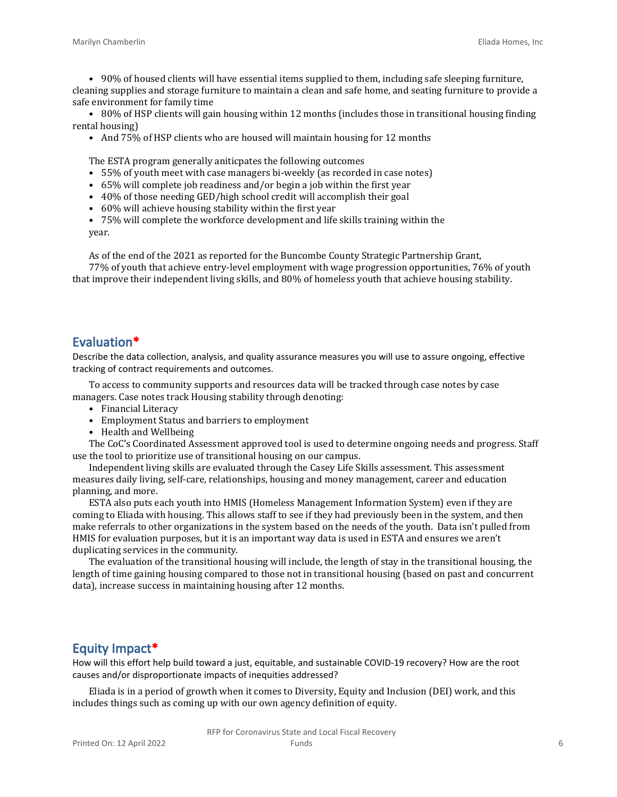• 90% of housed clients will have essential items supplied to them, including safe sleeping furniture, cleaning supplies and storage furniture to maintain a clean and safe home, and seating furniture to provide a safe environment for family time

• 80% of HSP clients will gain housing within 12 months (includes those in transitional housing finding rental housing)

• And 75% of HSP clients who are housed will maintain housing for 12 months

The ESTA program generally aniticpates the following outcomes

- 55% of youth meet with case managers bi-weekly (as recorded in case notes)
- 65% will complete job readiness and/or begin a job within the first year
- 40% of those needing GED/high school credit will accomplish their goal
- 60% will achieve housing stability within the first year
- 75% will complete the workforce development and life skills training within the year.

As of the end of the 2021 as reported for the Buncombe County Strategic Partnership Grant, 77% of youth that achieve entry-level employment with wage progression opportunities, 76% of youth that improve their independent living skills, and 80% of homeless youth that achieve housing stability.

### **Evaluation\***

Describe the data collection, analysis, and quality assurance measures you will use to assure ongoing, effective tracking of contract requirements and outcomes.

To access to community supports and resources data will be tracked through case notes by case managers. Case notes track Housing stability through denoting:

- Financial Literacy
- Employment Status and barriers to employment
- Health and Wellbeing

The CoC's Coordinated Assessment approved tool is used to determine ongoing needs and progress. Staff use the tool to prioritize use of transitional housing on our campus.

Independent living skills are evaluated through the Casey Life Skills assessment. This assessment measures daily living, self-care, relationships, housing and money management, career and education planning, and more.

ESTA also puts each youth into HMIS (Homeless Management Information System) even if they are coming to Eliada with housing. This allows staff to see if they had previously been in the system, and then make referrals to other organizations in the system based on the needs of the youth. Data isn't pulled from HMIS for evaluation purposes, but it is an important way data is used in ESTA and ensures we aren't duplicating services in the community.

The evaluation of the transitional housing will include, the length of stay in the transitional housing, the length of time gaining housing compared to those not in transitional housing (based on past and concurrent data), increase success in maintaining housing after 12 months.

### **Equity Impact\***

How will this effort help build toward a just, equitable, and sustainable COVID-19 recovery? How are the root causes and/or disproportionate impacts of inequities addressed?

Eliada is in a period of growth when it comes to Diversity, Equity and Inclusion (DEI) work, and this includes things such as coming up with our own agency definition of equity.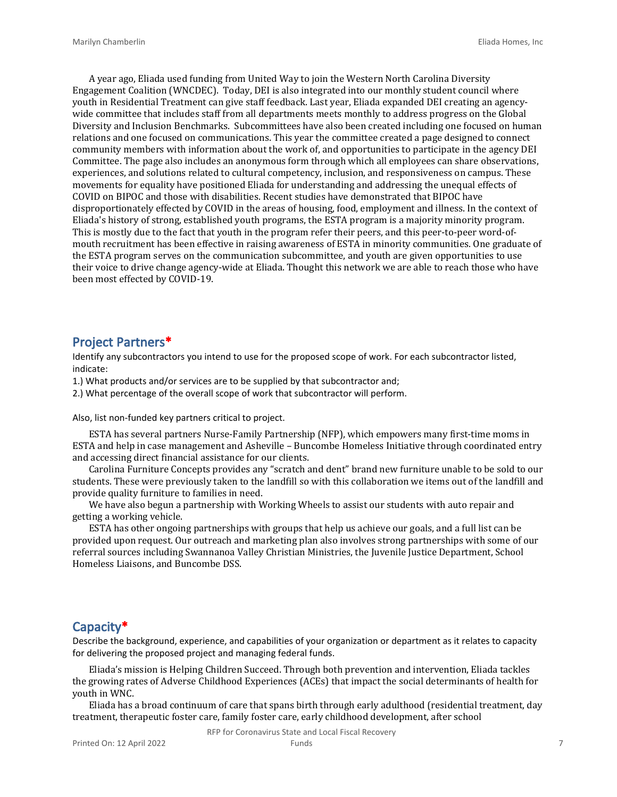A year ago, Eliada used funding from United Way to join the Western North Carolina Diversity Engagement Coalition (WNCDEC). Today, DEI is also integrated into our monthly student council where youth in Residential Treatment can give staff feedback. Last year, Eliada expanded DEI creating an agencywide committee that includes staff from all departments meets monthly to address progress on the Global Diversity and Inclusion Benchmarks. Subcommittees have also been created including one focused on human relations and one focused on communications. This year the committee created a page designed to connect community members with information about the work of, and opportunities to participate in the agency DEI Committee. The page also includes an anonymous form through which all employees can share observations, experiences, and solutions related to cultural competency, inclusion, and responsiveness on campus. These movements for equality have positioned Eliada for understanding and addressing the unequal effects of COVID on BIPOC and those with disabilities. Recent studies have demonstrated that BIPOC have disproportionately effected by COVID in the areas of housing, food, employment and illness. In the context of Eliada's history of strong, established youth programs, the ESTA program is a majority minority program. This is mostly due to the fact that youth in the program refer their peers, and this peer-to-peer word-ofmouth recruitment has been effective in raising awareness of ESTA in minority communities. One graduate of the ESTA program serves on the communication subcommittee, and youth are given opportunities to use their voice to drive change agency-wide at Eliada. Thought this network we are able to reach those who have been most effected by COVID-19.

#### **Project Partners\***

Identify any subcontractors you intend to use for the proposed scope of work. For each subcontractor listed, indicate:

1.) What products and/or services are to be supplied by that subcontractor and;

2.) What percentage of the overall scope of work that subcontractor will perform.

Also, list non-funded key partners critical to project.

ESTA has several partners Nurse-Family Partnership (NFP), which empowers many first-time moms in ESTA and help in case management and Asheville – Buncombe Homeless Initiative through coordinated entry and accessing direct financial assistance for our clients.

Carolina Furniture Concepts provides any "scratch and dent" brand new furniture unable to be sold to our students. These were previously taken to the landfill so with this collaboration we items out of the landfill and provide quality furniture to families in need.

We have also begun a partnership with Working Wheels to assist our students with auto repair and getting a working vehicle.

ESTA has other ongoing partnerships with groups that help us achieve our goals, and a full list can be provided upon request. Our outreach and marketing plan also involves strong partnerships with some of our referral sources including Swannanoa Valley Christian Ministries, the Juvenile Justice Department, School Homeless Liaisons, and Buncombe DSS.

#### **Capacity\***

Describe the background, experience, and capabilities of your organization or department as it relates to capacity for delivering the proposed project and managing federal funds.

Eliada's mission is Helping Children Succeed. Through both prevention and intervention, Eliada tackles the growing rates of Adverse Childhood Experiences (ACEs) that impact the social determinants of health for youth in WNC.

Eliada has a broad continuum of care that spans birth through early adulthood (residential treatment, day treatment, therapeutic foster care, family foster care, early childhood development, after school

RFP for Coronavirus State and Local Fiscal Recovery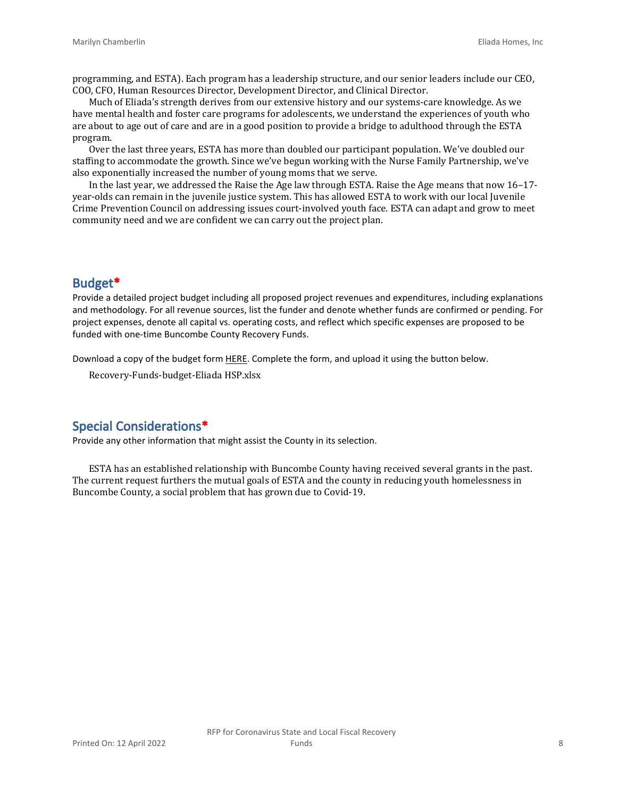programming, and ESTA). Each program has a leadership structure, and our senior leaders include our CEO, COO, CFO, Human Resources Director, Development Director, and Clinical Director.

Much of Eliada's strength derives from our extensive history and our systems-care knowledge. As we have mental health and foster care programs for adolescents, we understand the experiences of youth who are about to age out of care and are in a good position to provide a bridge to adulthood through the ESTA program.

Over the last three years, ESTA has more than doubled our participant population. We've doubled our staffing to accommodate the growth. Since we've begun working with the Nurse Family Partnership, we've also exponentially increased the number of young moms that we serve.

In the last year, we addressed the Raise the Age law through ESTA. Raise the Age means that now 16–17 year-olds can remain in the juvenile justice system. This has allowed ESTA to work with our local Juvenile Crime Prevention Council on addressing issues court-involved youth face. ESTA can adapt and grow to meet community need and we are confident we can carry out the project plan.

#### **Budget\***

Provide a detailed project budget including all proposed project revenues and expenditures, including explanations and methodology. For all revenue sources, list the funder and denote whether funds are confirmed or pending. For project expenses, denote all capital vs. operating costs, and reflect which specific expenses are proposed to be funded with one-time Buncombe County Recovery Funds.

Download a copy of the budget form [HERE](https://buncombecounty.org/common/community-investment/grants/early-childhood-education/Recovery-Funds-budget-template.xlsx). Complete the form, and upload it using the button below.

Recovery-Funds-budget-Eliada HSP.xlsx

#### **Special Considerations\***

Provide any other information that might assist the County in its selection.

ESTA has an established relationship with Buncombe County having received several grants in the past. The current request furthers the mutual goals of ESTA and the county in reducing youth homelessness in Buncombe County, a social problem that has grown due to Covid-19.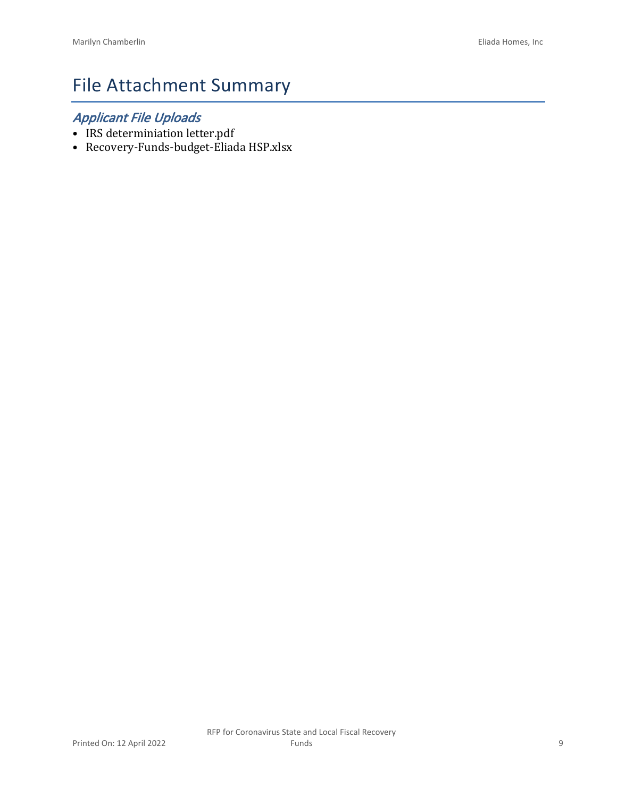# File Attachment Summary

## *Applicant File Uploads*

- IRS determiniation letter.pdf
- Recovery-Funds-budget-Eliada HSP.xlsx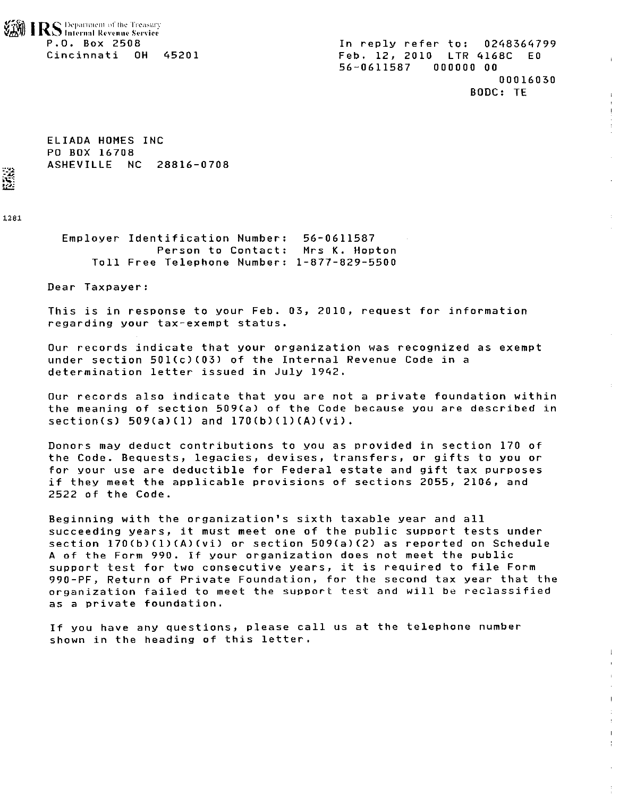RS Department of the Treasury P.O. Box 2508 Cincinnati OH 45201

In reply refer to: 0248364799 Feb. 12, 2010 LTR 4168C E0 56-0611587  $0.000000000$ 00016030 BODC: TE

 $\mathbf{r}$ 

ELIADA HOMES INC PO BOX 16708 ASHEVILLE NC 28816-0708

1281

Š

Employer Identification Number: 56-0611587 Person to Contact: Mrs K. Hopton Toll Free Telephone Number: 1-877-829-5500

Dear Taxpayer:

This is in response to your Feb. 03, 2010, request for information regarding your tax-exempt status.

Our records indicate that your organization was recognized as exempt under section 501(c)(03) of the Internal Revenue Code in a determination letter issued in July 1942.

Our records also indicate that you are not a private foundation within the meaning of section 509(a) of the Code because you are described in  $section(s) 509(a)(1)$  and  $170(b)(1)(A)(vi)$ .

Donors may deduct contributions to you as provided in section 170 of the Code. Bequests, legacies, devises, transfers, or gifts to you or for your use are deductible for Federal estate and gift tax purposes if they meet the applicable provisions of sections 2055, 2106, and 2522 of the Code.

Beginning with the organization's sixth taxable year and all succeeding years, it must meet one of the public support tests under section 170(b)(1)(A)(vi) or section 509(a)(2) as reported on Schedule A of the Form 990. If your organization does not meet the public support test for two consecutive years, it is required to file Form 990-PF, Return of Private Foundation, for the second tax year that the organization failed to meet the support test and will be reclassified as a private foundation.

If you have any questions, please call us at the telephone number shown in the heading of this letter.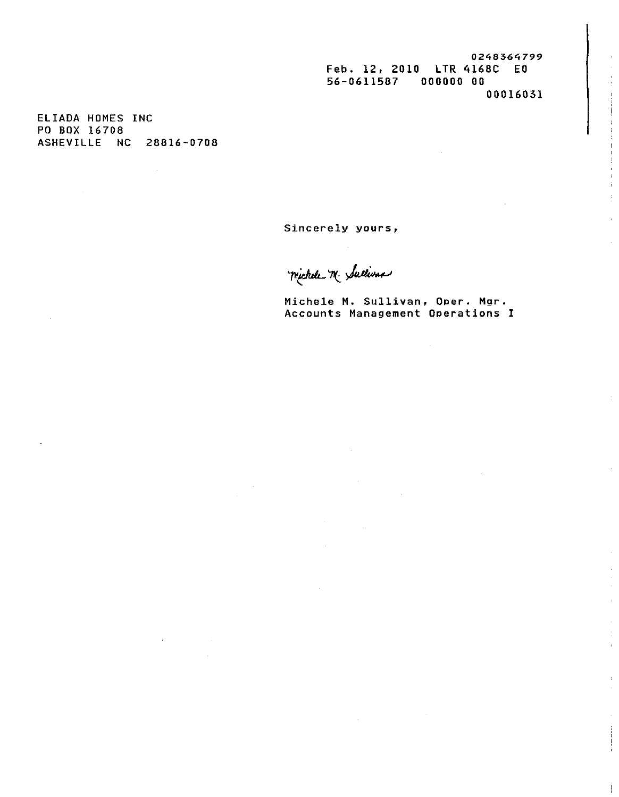0248364799 Feb. 12, 2010 LTR 4168C EO 56-0611587 000000 00 00016031

ELIADA HOMES INC PO BOX 16708 ASHEVILLE NC 28816-0708

 $\sim 10^{-10}$ 

Sincerely yours,

michele M. Sullivar

Michele M. Sullivan, Oper. Mgr. Accounts Management Operations I

 $\sim 10^7$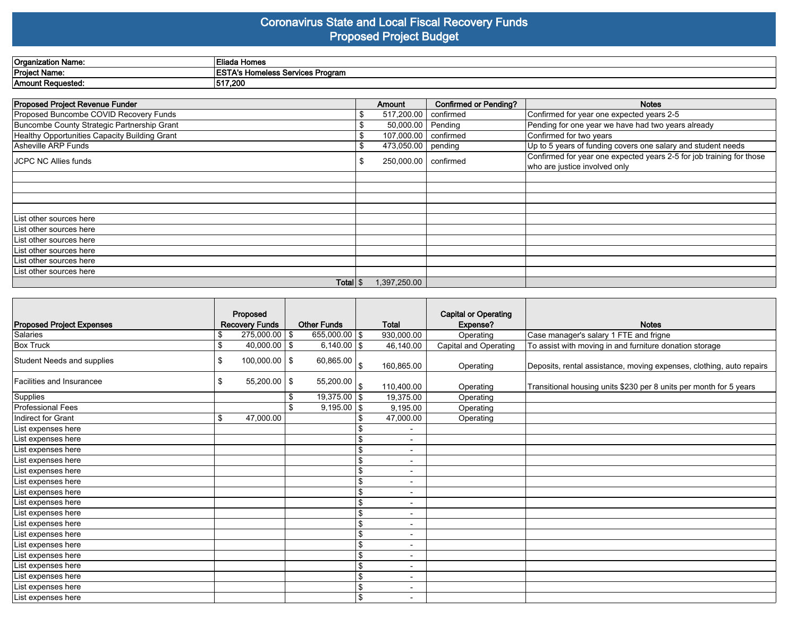#### **Coronavirus State and Local Fiscal Recovery Funds Proposed Project Budget**

| Organization Name:   | a Tilodo<br>Homes<br>=liaua             |
|----------------------|-----------------------------------------|
| <b>Project Name:</b> | ---<br><b>Homeless Services Program</b> |
| Amount Requested.    | 1517,200                                |

| <b>Proposed Project Revenue Funder</b>        |  | <b>Amount</b>          | <b>Confirmed or Pending?</b> | <b>Notes</b>                                                         |
|-----------------------------------------------|--|------------------------|------------------------------|----------------------------------------------------------------------|
| Proposed Buncombe COVID Recovery Funds        |  | 517,200.00   confirmed |                              | Confirmed for year one expected years 2-5                            |
| Buncombe County Strategic Partnership Grant   |  | 50,000.00              | Pending                      | Pending for one year we have had two years already                   |
| Healthy Opportunities Capacity Building Grant |  | 107,000.00   confirmed |                              | Confirmed for two years                                              |
| Asheville ARP Funds                           |  | 473,050.00 pending     |                              | Up to 5 years of funding covers one salary and student needs         |
| IJCPC NC Allies funds                         |  | 250,000.00   confirmed |                              | Confirmed for year one expected years 2-5 for job training for those |
|                                               |  |                        |                              | who are justice involved only                                        |
|                                               |  |                        |                              |                                                                      |
|                                               |  |                        |                              |                                                                      |
|                                               |  |                        |                              |                                                                      |
|                                               |  |                        |                              |                                                                      |
| List other sources here                       |  |                        |                              |                                                                      |
| List other sources here                       |  |                        |                              |                                                                      |
| List other sources here                       |  |                        |                              |                                                                      |
| List other sources here                       |  |                        |                              |                                                                      |
| List other sources here                       |  |                        |                              |                                                                      |
| List other sources here                       |  |                        |                              |                                                                      |
| Total $\frac{1}{3}$                           |  | 1,397,250.00           |                              |                                                                      |

| Proposed Project Expenses         | Proposed<br><b>Recovery Funds</b> | <b>Other Funds</b> |      | Total                    | <b>Capital or Operating</b><br>Expense? | <b>Notes</b>                                                         |
|-----------------------------------|-----------------------------------|--------------------|------|--------------------------|-----------------------------------------|----------------------------------------------------------------------|
| Salaries                          | \$<br>$275,000.00$   \$           | 655,000.00 \$      |      | 930,000.00               | Operating                               | Case manager's salary 1 FTE and frigne                               |
| <b>Box Truck</b>                  | \$<br>$40,000.00$ \$              | $6,140.00$ \$      |      | 46,140.00                | Capital and Operating                   | To assist with moving in and furniture donation storage              |
| <b>Student Needs and supplies</b> | \$<br>$100,000.00$   \$           | 60,865.00          | l \$ | 160,865.00               | Operating                               | Deposits, rental assistance, moving expenses, clothing, auto repairs |
| Facilities and Insurancee         | \$<br>$55,200.00$   \$            | 55,200.00          | l \$ | 110,400.00               | Operating                               | Transitional housing units \$230 per 8 units per month for 5 years   |
| Supplies                          |                                   | $19,375.00$ \$     |      | 19,375.00                | Operating                               |                                                                      |
| <b>Professional Fees</b>          |                                   | $9,195.00$ \$      |      | 9,195.00                 | Operating                               |                                                                      |
| Indirect for Grant                | \$<br>47,000.00                   |                    |      | 47,000.00                | Operating                               |                                                                      |
| List expenses here                |                                   |                    |      | $\overline{\phantom{a}}$ |                                         |                                                                      |
| List expenses here                |                                   |                    | \$   | $\blacksquare$           |                                         |                                                                      |
| List expenses here                |                                   |                    | \$   | $\overline{\phantom{a}}$ |                                         |                                                                      |
| List expenses here                |                                   |                    |      | $\overline{\phantom{a}}$ |                                         |                                                                      |
| List expenses here                |                                   |                    | \$   | $\overline{\phantom{a}}$ |                                         |                                                                      |
| List expenses here                |                                   |                    | \$   | $\blacksquare$           |                                         |                                                                      |
| List expenses here                |                                   |                    | \$   | $\blacksquare$           |                                         |                                                                      |
| List expenses here                |                                   |                    | \$   | $\overline{\phantom{a}}$ |                                         |                                                                      |
| List expenses here                |                                   |                    | \$   | $\overline{\phantom{a}}$ |                                         |                                                                      |
| List expenses here                |                                   |                    | \$   | $\overline{\phantom{a}}$ |                                         |                                                                      |
| List expenses here                |                                   |                    | \$   | $\blacksquare$           |                                         |                                                                      |
| List expenses here                |                                   |                    | \$   | $\overline{\phantom{a}}$ |                                         |                                                                      |
| List expenses here                |                                   |                    | \$   | $\overline{\phantom{a}}$ |                                         |                                                                      |
| List expenses here                |                                   |                    | \$   | $\overline{\phantom{a}}$ |                                         |                                                                      |
| List expenses here                |                                   |                    | \$   | $\overline{\phantom{a}}$ |                                         |                                                                      |
| List expenses here                |                                   |                    | \$   | $\overline{\phantom{a}}$ |                                         |                                                                      |
| List expenses here                |                                   |                    | \$   | $\overline{\phantom{0}}$ |                                         |                                                                      |